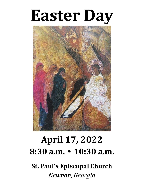# **Easter Day**



## **April 17, 2022 8:30 a.m. • 10:30 a.m.**

**St. Paul's Episcopal Church** *Newnan, Georgia*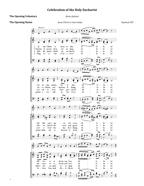### **Celebration of the Holy Eucharist**

### **The Opening Voluntary** *Brass Quintet*

### **The Opening Hymn**<br>*Jesus Christ is risen today Hymnal 207*



1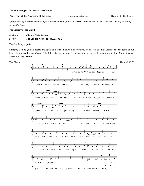### **The Flowering of the Cross (10:30 only)**

### **The Hymn at the Flowering of the Cross** *Morning has broken* Hymnal 8 (10:30 a.m.)

*After flowering the cross, children ages 4-8 are invited to gather at the rear of the nave to attend Children's Chapel, returning during the Peace.*

### **The Liturgy of the Word**

| Celebrant | Alleluia. Christ is risen.          |
|-----------|-------------------------------------|
| People    | The Lord is risen indeed. Alleluia. |

### *The People say together*

Almighty God, to you all hearts are open, all desires known, and from you no secrets are hid: Cleanse the thoughts of our hearts by the inspiration of your Holy Spirit, that we may perfectly love you, and worthily magnify your holy Name; through Christ our Lord. **Amen.**

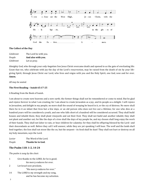

### **The Collect of the Day**

| Celebrant | The Lord be with you. |
|-----------|-----------------------|
| People    | And also with you.    |
| Celebrant | Let us pray.          |

Almighty God, who through your only-begotten Son Jesus Christ overcame death and opened to us the gate of everlasting life: Grant that we, who celebrate with joy the day of the Lord's resurrection, may be raised from the death of sin by your lifegiving Spirit; through Jesus Christ our Lord, who lives and reigns with you and the Holy Spirit, one God, now and for ever. **Amen.**

### *All may be seated.*

### **The First Reading – Isaiah 65:17-25**

A Reading from the Book of Isaiah.

I am about to create new heavens and a new earth; the former things shall not be remembered or come to mind. But be glad and rejoice forever in what I am creating; for I am about to create Jerusalem as a joy, and its people as a delight. I will rejoice in Jerusalem, and delight in my people; no more shall the sound of weeping be heard in it, or the cry of distress. No more shall there be in it an infant that lives but a few days, or an old person who does not live out a lifetime; for one who dies at a hundred years will be considered a youth, and one who falls short of a hundred will be considered accursed. They shall build houses and inhabit them; they shall plant vineyards and eat their fruit. They shall not build and another inhabit; they shall not plant and another eat; for like the days of a tree shall the days of my people be, and my chosen shall long enjoy the work of their hands. They shall not labor in vain, or bear children for calamity; for they shall be offspring blessed by the Lord--and their descendants as well. Before they call I will answer, while they are yet speaking I will hear. The wolf and the lamb shall feed together, the lion shall eat straw like the ox; but the serpent-- its food shall be dust! They shall not hurt or destroy on all my holy mountain, says the Lord.

| Lector | The Word of the Lord. |
|--------|-----------------------|
| People | Thanks be to God.     |

### **The Psalm 118: 1-2, 14-24**

*The psalm is sung by the choir.*

| 1  | Give thanks to the LORD, for he is good; |
|----|------------------------------------------|
|    | his mercy endures for ever.              |
| 2  | Let Israel now proclaim,                 |
|    | "His mercy endures for ever."            |
| 14 | The LORD is my strength and my song,     |
|    | and he has become my salvation.          |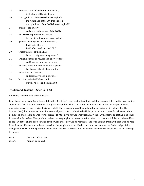| 15 | There is a sound of exultation and victory     |
|----|------------------------------------------------|
|    | in the tents of the righteous:                 |
|    |                                                |
| 16 | "The right hand of the LORD has triumphed!     |
|    | the right hand of the LORD is exalted!         |
|    | the right hand of the LORD has triumphed!"     |
| 17 | I shall not die, but live,                     |
|    | and declare the works of the LORD.             |
| 18 | The LORD has punished me sorely,               |
|    | but he did not hand me over to death.          |
| 19 | Open for me the gates of righteousness;        |
|    | I will enter them;                             |
|    | I will offer thanks to the LORD.               |
| 20 | "This is the gate of the LORD;                 |
|    | he who is righteous may enter."                |
| 21 | I will give thanks to you, for you answered me |
|    | and have become my salvation.                  |
| 22 | The same stone which the builders rejected     |
|    | has become the chief cornerstone.              |
| 23 | This is the LORD'S doing,                      |
|    | and it is marvelous in our eyes.               |
| 24 | On this day the LORD has acted;                |
|    | we will rejoice and be glad in it.             |
|    |                                                |

### **The Second Reading – Acts 10:34-43**

A Reading from the Acts of the Apostles.

Peter began to speak to Cornelius and the other Gentiles: "I truly understand that God shows no partiality, but in every nation anyone who fears him and does what is right is acceptable to him. You know the message he sent to the people of Israel, preaching peace by Jesus Christ--he is Lord of all. That message spread throughout Judea, beginning in Galilee after the baptism that John announced: how God anointed Jesus of Nazareth with the Holy Spirit and with power; how he went about doing good and healing all who were oppressed by the devil, for God was with him. We are witnesses to all that he did both in Judea and in Jerusalem. They put him to death by hanging him on a tree; but God raised him on the third day and allowed him to appear, not to all the people but to us who were chosen by God as witnesses, and who ate and drank with him after he rose from the dead. He commanded us to preach to the people and to testify that he is the one ordained by God as judge of the living and the dead. All the prophets testify about him that everyone who believes in him receives forgiveness of sins through his name."

*Lector* The Word of the Lord. *People* **Thanks be to God.**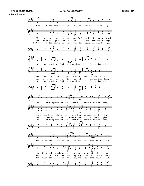### **The Sequence Hymn** *The day of Resurrection Hymnal 210*

*All stand, as able.*

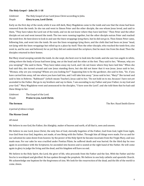### **The Holy Gospel – John 20: 1-18**

*Celebrant* The Holy Gospel of our Lord Jesus Christ according to John. *People* **Glory to you, Lord Christ.**

Early on the first day of the week, while it was still dark, Mary Magdalene came to the tomb and saw that the stone had been removed from the tomb. So she ran and went to Simon Peter and the other disciple, the one whom Jesus loved, and said to them, "They have taken the Lord out of the tomb, and we do not know where they have laid him." Then Peter and the other disciple set out and went toward the tomb. The two were running together, but the other disciple outran Peter and reached the tomb first. He bent down to look in and saw the linen wrappings lying there, but he did not go in. Then Simon Peter came, following him, and went into the tomb. He saw the linen wrappings lying there, and the cloth that had been on Jesus' head, not lying with the linen wrappings but rolled up in a place by itself. Then the other disciple, who reached the tomb first, also went in, and he saw and believed; for as yet they did not understand the scripture, that he must rise from the dead. Then the disciples returned to their homes.

But Mary stood weeping outside the tomb. As she wept, she bent over to look into the tomb; and she saw two angels in white, sitting where the body of Jesus had been lying, one at the head and the other at the feet. They said to her, "Woman, why are you weeping?" She said to them, "They have taken away my Lord, and I do not know where they have laid him." When she had said this, she turned around and saw Jesus standing there, but she did not know that it was Jesus. Jesus said to her, "Woman, why are you weeping? Whom are you looking for?" Supposing him to be the gardener, she said to him, "Sir, if you have carried him away, tell me where you have laid him, and I will take him away." Jesus said to her, "Mary!" She turned and said to him in Hebrew, "Rabbouni!" (which means Teacher). Jesus said to her, "Do not hold on to me, because I have not yet ascended to the Father. But go to my brothers and say to them, 'I am ascending to my Father and your Father, to my God and your God.'" Mary Magdalene went and announced to the disciples, "I have seen the Lord"; and she told them that he had said these things to her.

*Celebrant* The Gospel of the Lord. *People* **Praise to you, Lord Christ.**

*A period of silence is kept.*

### **The Nicene Creed**

### *All stand.*

We believe in one God, the Father, the Almighty, maker of heaven and earth, of all that is, seen and unseen.

We believe in one Lord, Jesus Christ, the only Son of God, eternally begotten of the Father, God from God, Light from Light, true God from true God, begotten, not made, of one Being with the Father. Through him all things were made. For us and for our salvation he came down from heaven: by the power of the Holy Spirit he became incarnate from the Virgin Mary, and was made man. For our sake he was crucified under Pontius Pilate; he suffered death and was buried. On the third day he rose again in accordance with the Scriptures; he ascended into heaven and is seated at the right hand of the Father. He will come again in glory to judge the living and the dead, and his kingdom will have no end.

We believe in the Holy Spirit, the Lord, the giver of life, who proceeds from the Father and the Son. With the Father and the Son he is worshiped and glorified. He has spoken through the prophets. We believe in one holy catholic and apostolic Church. We acknowledge one baptism for the forgiveness of sins. We look for the resurrection of the dead, and the life of the world to come. Amen.

**The Sermon** The Rev. Hazel Smith Glover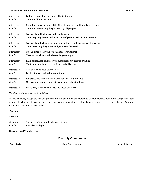### **The Prayers of the People – Form III** BCP 387

| <i>Intercessor</i> | Father, we pray for your holy Catholic Church;                             |
|--------------------|----------------------------------------------------------------------------|
| People             | That we all may be one.                                                    |
| Intercessor        | Grant that every member of the Church may truly and humbly serve you;      |
| People             | That your Name may be glorified by all people.                             |
| <i>Intercessor</i> | We pray for all bishops, priests, and deacons;                             |
| People             | That they may be faithful ministers of your Word and Sacraments.           |
| <i>Intercessor</i> | We pray for all who govern and hold authority in the nations of the world; |
| People             | That there may be justice and peace on the earth.                          |
| <i>Intercessor</i> | Give us grace to do your will in all that we undertake;                    |
| People             | That our works may find favor in your sight.                               |
| <i>Intercessor</i> | Have compassion on those who suffer from any grief or trouble;             |
| People             | That they may be delivered from their distress.                            |
| <i>Intercessor</i> | Give to the departed eternal rest.                                         |
| People             | Let light perpetual shine upon them.                                       |
| <i>Intercessor</i> | We praise you for your saints who have entered into joy;                   |
| People             | May we also come to share in your heavenly kingdom.                        |
| <i>Intercessor</i> | Let us pray for our own needs and those of others.                         |

### *The Celebrant adds a concluding Collect.*

O Lord our God, accept the fervent prayers of your people; in the multitude of your mercies, look with compassion upon us and all who turn to you for help; for you are gracious, O lover of souls, and to you we give glory, Father, Son, and Holy Spirit, now and for ever. *Amen.* 

### **The Peace**

*All stand.* 

*Celebrant* The peace of the Lord be always with you.

*People* **And also with you.**

**Blessings and Thanksgivings**

### **The Holy Communion**

**The Offertory** *Sing Ye to the Lord Compared Edward Baristow* **<b>Edward Baristow**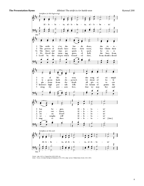**The Presentation Hymn** *Alleluia! The strife is o'er battle won Hymnal 208* 



Words: Latin, 1695; tr. Francis Pott (1832-1909), alt. Music: Victory, Giovanni Pierluigi da Palestrina (1525-1594); adapt. and arr. Willam Henry Monk (1826-1889)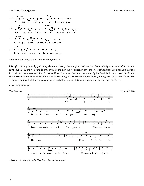### **The Great Thanksgiving and School School School School School School School School School School School School School School School School School School School School School School School School School School School Schoo**



*All remain standing, as able. The Celebrant proceeds*

It is right, and a good and joyful thing, always and everywhere to give thanks to you, Father Almighty, Creator of heaven and earth. But chiefly are we bound to praise you for the glorious resurrection of your Son Jesus Christ our Lord; for he is the true Paschal Lamb, who was sacrificed for us, and has taken away the sin of the world. By his death he has destroyed death, and by his rising to life again he has won for us everlasting life. Therefore we praise you, joining our voices with Angels and Archangels and with all the company of heaven, who for ever sing this hymn to proclaim the glory of your Name:

*Celebrant and People*



*All remain standing as able. Then the Celebrant continues*

### 9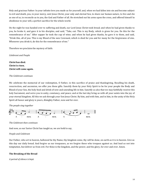Holy and gracious Father: In your infinite love you made us for yourself; and, when we had fallen into sin and become subject to evil and death, you, in your mercy, sent Jesus Christ, your only and eternal Son, to share our human nature, to live and die as one of us, to reconcile us to you, the God and Father of all. He stretched out his arms upon the cross, and offered himself in obedience to your will, a perfect sacrifice for the whole world.

On the night he was handed over to suffering and death, our Lord Jesus Christ took bread; and when he had given thanks to you, he broke it, and gave it to his disciples, and said, "Take, eat: This is my Body, which is given for you. Do this for the remembrance of me." After supper he took the cup of wine; and when he had given thanks, he gave it to them, and said, "Drink this, all of you: This is my Blood of the new Covenant, which is shed for you and for many for the forgiveness of sins. Whenever you drink it, do this for the remembrance of me."

Therefore we proclaim the mystery of faith:

*Celebrant and People*

**Christ has died. Christ is risen. Christ will come again.**

### *The Celebrant continues*

We celebrate the memorial of our redemption, O Father, in this sacrifice of praise and thanksgiving. Recalling his death, resurrection, and ascension, we offer you these gifts. Sanctify them by your Holy Spirit to be for your people the Body and Blood of your Son, the holy food and drink of new and unending life in him. Sanctify us also that we may faithfully receive this holy Sacrament, and serve you in unity, constancy, and peace; and at the last day bring us with all your saints into the joy of your eternal kingdom. All this we ask through your Son Jesus Christ. By him, and with him, and in him, in the unity of the Holy Spirit all honor and glory is yours, Almighty Father, now and for ever.

*The people sing together*



### *The Celebrant then continues*

And now, as our Savior Christ has taught us, we are bold to say,

### *People and Celebrant*

Our Father, who art in heaven, hallowed be thy Name, thy kingdom come, thy will be done, on earth as it is in heaven. Give us this day our daily bread. And forgive us our trespasses, as we forgive those who trespass against us. And lead us not into temptation, but deliver us from evil. For thine is the kingdom, and the power, and the glory, for ever and ever. Amen.

### **The Breaking of the Bread**

*A period of silence is kept.*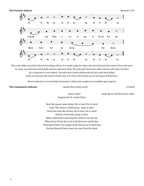**The Fraction Anthem** Hymnal S 154



*This is the table, not of the Church but of Jesus Christ. It is made ready for those who love God and who want to love God more. So come, you who have much faith and you who have little, You who have been here often and you who have not been for a long time or ever before, You who have tried to follow and all of us who have failed. Come, not because the Church invites you; It is Christ who invites you to be known and fed here.* 

*All are welcome to receive Holy Communion. Gluten-free wafers are available upon request.* 

**The Communion Anthems** *Awake thou wintry earth I.S. Bach I.S. Bach* 

Sung by the St. Cecilia Choir

*Jesus is Alive* Cindy Berry (10:30 service only)

Hear the joyous news today: He is risen! He is risen! Look! The stone is rolled away. Jesus is alive. Christ has won the victory, He is risen, He is risen! And for all eternity, Jesus is alive. Before that Easter morning the world in sorrow lay. When Jesus Christ the Lord of all died one tearful day. They placed him in an empty tomb but just as he had said, On that blessed Easter morn he rose from the dead.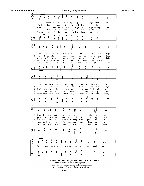### **The Communion Hymn** *Welcome, happy morning!* **The Communion Hymnal 179**



bring again our daylight: day returns with thee!

Refrain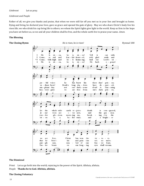### *Celebrant* Let us pray.

### *Celebrant and People*

Father of all, we give you thanks and praise, that when we were still far off you met us in your Son and brought us home. Dying and living, he declared your love, gave us grace and opened the gate of glory. May we who share Christ's body live his risen life; we who drink his cup bring life to others; we whom the Spirit lights give light to the world. Keep us firm in the hope you have set before us, so we and all your children shall be free, and the whole earth live to praise your name. *Amen.*

### **The Blessing**



### **The Dismissal**

*Priest* Let us go forth into the world, rejoicing in the power of the Spirit. Alleluia, alleluia. *People* **Thanks be to God. Alleluia, alleluia.**

### **The Closing Voluntary**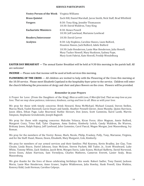### **SERVICE PARTICIPANTS**

| <b>Vestry Person of the Week</b> Virginia Williams |                                                                                                                                                                    |
|----------------------------------------------------|--------------------------------------------------------------------------------------------------------------------------------------------------------------------|
| <b>Brass Quintet</b>                               | Zach Hill, Daniel Marshall, Jaron Smith, Nick Staff, Brad Whitfield                                                                                                |
| <b>Vergers</b>                                     | 8:30: Tony King, Jennifer Thomasson<br>10:30: David Waldron, Tony King                                                                                             |
| <b>Eucharistic Ministers</b>                       | 8:30: Renee Powell<br>10:30: Jeff Lawhead, Marianne Lawhead                                                                                                        |
| Readers/Intercessor                                | 10:30: David Carver                                                                                                                                                |
| <b>Acolytes</b>                                    | 8:30: Lily Hopkins, Caroline Hawes, Liam Bulford,<br>Houston Hawes, Jack Bulford, Adele Bulford                                                                    |
|                                                    | 10:30: Jude Henderson, Lanie Mae Henderson, Julia Howell,<br>Mary Tucker Howell, Mary Huskison, Sydney Pape,<br>Mary Scott Fabrizi, Kate Howell, Freddy Wendelburg |

**EASTER DAY BREAKFAST** — The annual Easter Breakfast will be held at 9:30 this morning in the parish hall. All are welcome!

**INCENSE** — Please note that incense will be used at both services this morning.

**FLOWERING OF THE CROSS** — All children are invited to help with the Flowering of the Cross this morning at the 10:30 service. Please meet Elisabeth Copeland in the hospitality foyer prior to the service. Children will enter the church following the procession of clergy and choir and place flowers on the cross. Flowers will be provided.

### *Remember in your Prayers*

A Prayer for Love: (From the Daughters of the King) *Bless us with Love, O Merciful God; That we may love as you love. That we may show patience, tolerance, kindness, caring and love to all. Bless us with your love.*

We pray for those with timely concerns: Brink Howard, Rena McMichael, Michael Coxand, Steven Stellen, Marcia Mack, Vashti Ravenell, Gavin Stuart and family, Heather Pennell-Glover, Anne Murphy, Quinn Harrison, Jason Allen, Ethan Page, Luke Bourneuf, Ruthie Stewart, Don Jones, Scott Cummins, Karol Lamb, Marvin Simpson, Stephanie Grendzinski, Joseph Bagwell.

We pray for those with ongoing concerns: Malcolm Velasca, Kiran Force, Alice Magnan, Annie Bulford, Margaret Crary, Trina Hall, Tyler Chapman, Anna Endres, Kimberly Leitch, Candy Waldron, Bo Warren, Brittany Jones, Ralph Hajosy, Jeff Lawhead, John Cummins, Carol Pascal, Megan Morgan, Jeni Massenburg, Ivy Roman.

We pray for the members of the Vestry: Renee, Mark, Nicole, Philip, Frankey, Polly, Tony, Marianne, Virginia, and for the Staff: Hazel, Mason, Dawn, Elisabeth, Mary Margaret, Cole, Kimberly.

We pray for members of our armed services and their families: Phil Kearney, Kevin Bradley, Joe Clay, Tom Choate, Linda Boyce, Dariel Johnson, Sean McGraw, Steven Puckett, Bill Tudor, Jr., Scott Woodward, Luke White, Tommy White, Zach Simkins, Jacob Britt, Morgen Davis, Luke Eason, Michael Rafferty, David Norwood, Arron Essex, Adam Harrison, Sam Vermilyea, Charles Mathews, Cameron Everett, Lanier Sealy, Beau Massenburg.

We give thanks for the lives of those celebrating birthdays this week: Robert Sadler, Tony Daniel, Jackson Morin, Lanie Mae Henderson, Anne Graner, Sophie Widdowson, Julia Howley, Hank Powell, Gina Watkiss, Kemrey Kidd, Leah Herman, Caroline Colpoys.